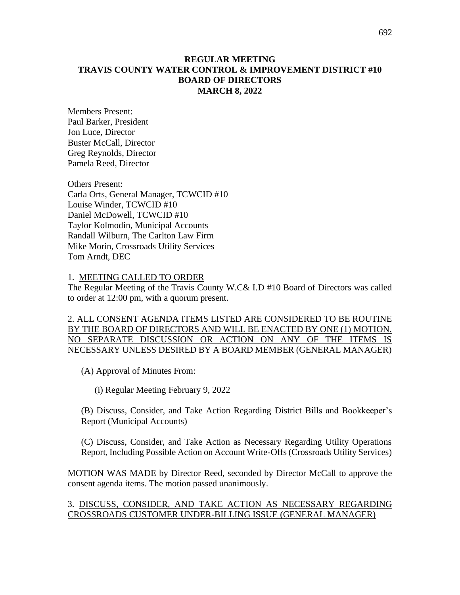## **REGULAR MEETING TRAVIS COUNTY WATER CONTROL & IMPROVEMENT DISTRICT #10 BOARD OF DIRECTORS MARCH 8, 2022**

Members Present: Paul Barker, President Jon Luce, Director Buster McCall, Director Greg Reynolds, Director Pamela Reed, Director

Others Present: Carla Orts, General Manager, TCWCID #10 Louise Winder, TCWCID #10 Daniel McDowell, TCWCID #10 Taylor Kolmodin, Municipal Accounts Randall Wilburn, The Carlton Law Firm Mike Morin, Crossroads Utility Services Tom Arndt, DEC

1. MEETING CALLED TO ORDER

The Regular Meeting of the Travis County W.C& I.D #10 Board of Directors was called to order at 12:00 pm, with a quorum present.

2. ALL CONSENT AGENDA ITEMS LISTED ARE CONSIDERED TO BE ROUTINE BY THE BOARD OF DIRECTORS AND WILL BE ENACTED BY ONE (1) MOTION. NO SEPARATE DISCUSSION OR ACTION ON ANY OF THE ITEMS IS NECESSARY UNLESS DESIRED BY A BOARD MEMBER (GENERAL MANAGER)

(A) Approval of Minutes From:

(i) Regular Meeting February 9, 2022

(B) Discuss, Consider, and Take Action Regarding District Bills and Bookkeeper's Report (Municipal Accounts)

(C) Discuss, Consider, and Take Action as Necessary Regarding Utility Operations Report, Including Possible Action on Account Write-Offs (Crossroads Utility Services)

MOTION WAS MADE by Director Reed, seconded by Director McCall to approve the consent agenda items. The motion passed unanimously.

#### 3. DISCUSS, CONSIDER, AND TAKE ACTION AS NECESSARY REGARDING CROSSROADS CUSTOMER UNDER-BILLING ISSUE (GENERAL MANAGER)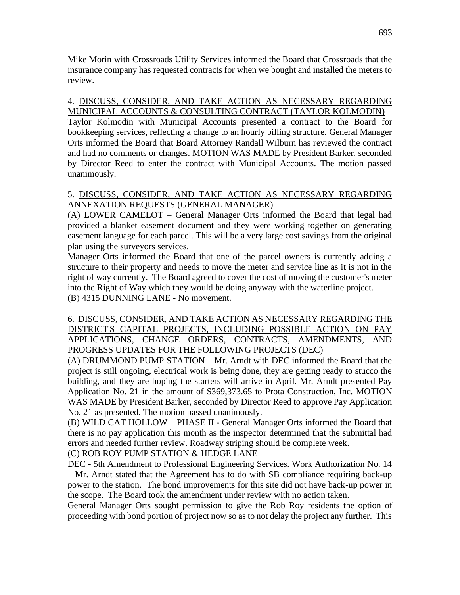Mike Morin with Crossroads Utility Services informed the Board that Crossroads that the insurance company has requested contracts for when we bought and installed the meters to review.

## 4. DISCUSS, CONSIDER, AND TAKE ACTION AS NECESSARY REGARDING MUNICIPAL ACCOUNTS & CONSULTING CONTRACT (TAYLOR KOLMODIN)

Taylor Kolmodin with Municipal Accounts presented a contract to the Board for bookkeeping services, reflecting a change to an hourly billing structure. General Manager Orts informed the Board that Board Attorney Randall Wilburn has reviewed the contract and had no comments or changes. MOTION WAS MADE by President Barker, seconded by Director Reed to enter the contract with Municipal Accounts. The motion passed unanimously.

# 5. DISCUSS, CONSIDER, AND TAKE ACTION AS NECESSARY REGARDING ANNEXATION REQUESTS (GENERAL MANAGER)

(A) LOWER CAMELOT – General Manager Orts informed the Board that legal had provided a blanket easement document and they were working together on generating easement language for each parcel. This will be a very large cost savings from the original plan using the surveyors services.

Manager Orts informed the Board that one of the parcel owners is currently adding a structure to their property and needs to move the meter and service line as it is not in the right of way currently. The Board agreed to cover the cost of moving the customer's meter into the Right of Way which they would be doing anyway with the waterline project. (B) 4315 DUNNING LANE - No movement.

## 6. DISCUSS, CONSIDER, AND TAKE ACTION AS NECESSARY REGARDING THE DISTRICT'S CAPITAL PROJECTS, INCLUDING POSSIBLE ACTION ON PAY APPLICATIONS, CHANGE ORDERS, CONTRACTS, AMENDMENTS, AND PROGRESS UPDATES FOR THE FOLLOWING PROJECTS (DEC)

(A) DRUMMOND PUMP STATION – Mr. Arndt with DEC informed the Board that the project is still ongoing, electrical work is being done, they are getting ready to stucco the building, and they are hoping the starters will arrive in April. Mr. Arndt presented Pay Application No. 21 in the amount of \$369,373.65 to Prota Construction, Inc. MOTION WAS MADE by President Barker, seconded by Director Reed to approve Pay Application No. 21 as presented. The motion passed unanimously.

(B) WILD CAT HOLLOW – PHASE II - General Manager Orts informed the Board that there is no pay application this month as the inspector determined that the submittal had errors and needed further review. Roadway striping should be complete week.

(C) ROB ROY PUMP STATION & HEDGE LANE –

DEC - 5th Amendment to Professional Engineering Services. Work Authorization No. 14 – Mr. Arndt stated that the Agreement has to do with SB compliance requiring back-up power to the station. The bond improvements for this site did not have back-up power in the scope. The Board took the amendment under review with no action taken.

General Manager Orts sought permission to give the Rob Roy residents the option of proceeding with bond portion of project now so as to not delay the project any further. This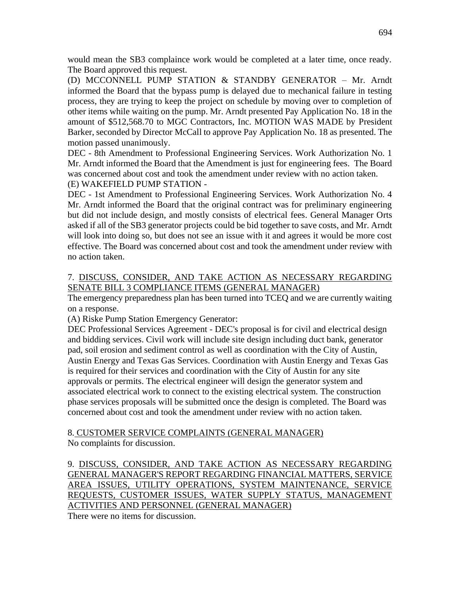would mean the SB3 complaince work would be completed at a later time, once ready. The Board approved this request.

(D) MCCONNELL PUMP STATION & STANDBY GENERATOR – Mr. Arndt informed the Board that the bypass pump is delayed due to mechanical failure in testing process, they are trying to keep the project on schedule by moving over to completion of other items while waiting on the pump. Mr. Arndt presented Pay Application No. 18 in the amount of \$512,568.70 to MGC Contractors, Inc. MOTION WAS MADE by President Barker, seconded by Director McCall to approve Pay Application No. 18 as presented. The motion passed unanimously.

DEC - 8th Amendment to Professional Engineering Services. Work Authorization No. 1 Mr. Arndt informed the Board that the Amendment is just for engineering fees. The Board was concerned about cost and took the amendment under review with no action taken. (E) WAKEFIELD PUMP STATION -

DEC - 1st Amendment to Professional Engineering Services. Work Authorization No. 4 Mr. Arndt informed the Board that the original contract was for preliminary engineering but did not include design, and mostly consists of electrical fees. General Manager Orts asked if all of the SB3 generator projects could be bid together to save costs, and Mr. Arndt will look into doing so, but does not see an issue with it and agrees it would be more cost effective. The Board was concerned about cost and took the amendment under review with no action taken.

# 7. DISCUSS, CONSIDER, AND TAKE ACTION AS NECESSARY REGARDING SENATE BILL 3 COMPLIANCE ITEMS (GENERAL MANAGER)

The emergency preparedness plan has been turned into TCEQ and we are currently waiting on a response.

(A) Riske Pump Station Emergency Generator:

DEC Professional Services Agreement - DEC's proposal is for civil and electrical design and bidding services. Civil work will include site design including duct bank, generator pad, soil erosion and sediment control as well as coordination with the City of Austin, Austin Energy and Texas Gas Services. Coordination with Austin Energy and Texas Gas is required for their services and coordination with the City of Austin for any site approvals or permits. The electrical engineer will design the generator system and associated electrical work to connect to the existing electrical system. The construction phase services proposals will be submitted once the design is completed. The Board was concerned about cost and took the amendment under review with no action taken.

8. CUSTOMER SERVICE COMPLAINTS (GENERAL MANAGER) No complaints for discussion.

9. DISCUSS, CONSIDER, AND TAKE ACTION AS NECESSARY REGARDING GENERAL MANAGER'S REPORT REGARDING FINANCIAL MATTERS, SERVICE AREA ISSUES, UTILITY OPERATIONS, SYSTEM MAINTENANCE, SERVICE REQUESTS, CUSTOMER ISSUES, WATER SUPPLY STATUS, MANAGEMENT ACTIVITIES AND PERSONNEL (GENERAL MANAGER)

There were no items for discussion.